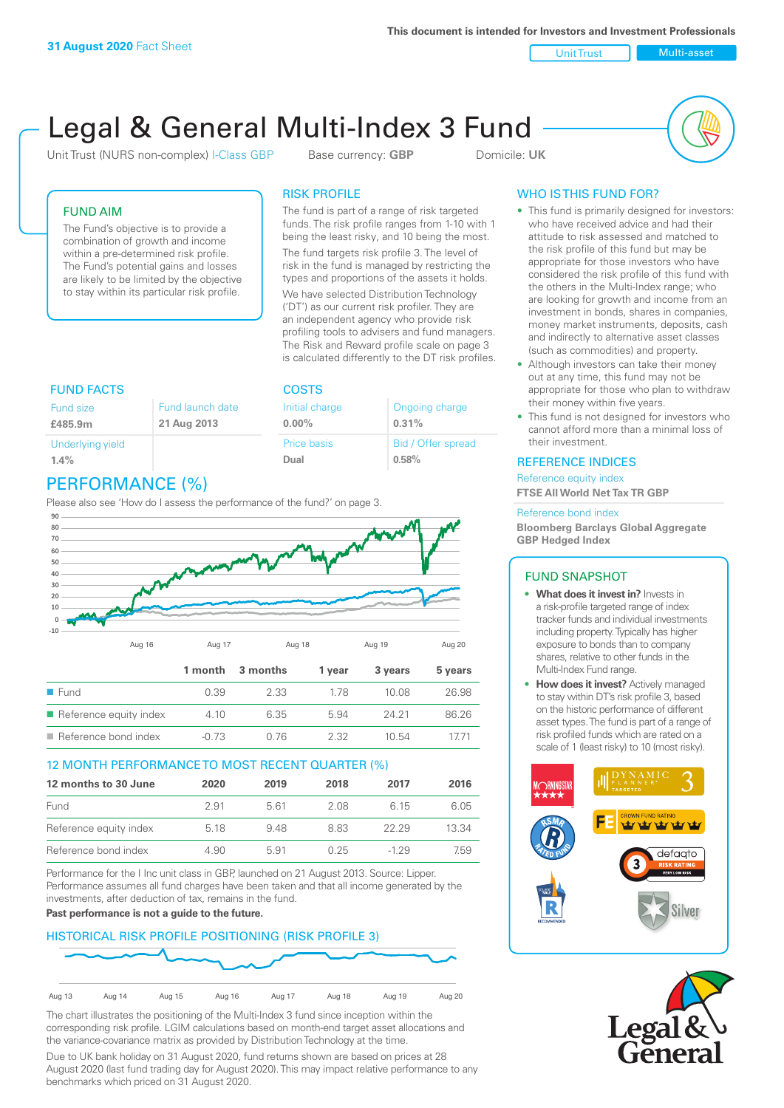**This document is intended for Investors and Investment Professionals**

Unit Trust Nulti-asset

# Legal & General Multi-Index 3 Fund

Unit Trust (NURS non-complex) I-Class GBP Base currency: **GBP** Domicile: UK



# FUND AIM

The Fund's objective is to provide a combination of growth and income within a pre-determined risk profile. The Fund's potential gains and losses are likely to be limited by the objective to stay within its particular risk profile.

## RISK PROFILE

**COSTS** 

Initial charge **0.00%**

Price basis **Dual**

The fund is part of a range of risk targeted funds. The risk profile ranges from 1-10 with 1 being the least risky, and 10 being the most.

The fund targets risk profile 3. The level of risk in the fund is managed by restricting the types and proportions of the assets it holds. We have selected Distribution Technology ('DT') as our current risk profiler. They are an independent agency who provide risk profiling tools to advisers and fund managers. The Risk and Reward profile scale on page 3 is calculated differently to the DT risk profiles.

Ongoing charge

Bid / Offer spread

**0.31%**

**0.58%**

| <b>FUND FACTS</b>           |                                 |
|-----------------------------|---------------------------------|
| Fund size<br>£485.9m        | Fund launch date<br>21 Aug 2013 |
| Underlying yield<br>$1.4\%$ |                                 |

# PERFORMANCE (%)

Please also see 'How do I assess the performance of the fund?' on page 3.



## 12 MONTH PERFORMANCE TO MOST RECENT QUARTER (%)

| 12 months to 30 June   | 2020 | 2019 | 2018 | 2017  | 2016  |
|------------------------|------|------|------|-------|-------|
| Fund                   | 291  | 561  | 2.08 | 6 15  | 6.05  |
| Reference equity index | 5.18 | 948  | 883  | 22.29 | 13.34 |
| Reference bond index   | 4.90 | 5.91 | O 25 | -1 29 | 7.59  |

Performance for the I Inc unit class in GBP, launched on 21 August 2013. Source: Lipper. Performance assumes all fund charges have been taken and that all income generated by the investments, after deduction of tax, remains in the fund.

## **Past performance is not a guide to the future.**

## HISTORICAL RISK PROFILE POSITIONING (RISK PROFILE 3)



The chart illustrates the positioning of the Multi-Index 3 fund since inception within the corresponding risk profile. LGIM calculations based on month-end target asset allocations and the variance-covariance matrix as provided by Distribution Technology at the time.

Due to UK bank holiday on 31 August 2020, fund returns shown are based on prices at 28 August 2020 (last fund trading day for August 2020). This may impact relative performance to any benchmarks which priced on 31 August 2020.

# WHO IS THIS FUND FOR?

- This fund is primarily designed for investors: who have received advice and had their attitude to risk assessed and matched to the risk profile of this fund but may be appropriate for those investors who have considered the risk profile of this fund with the others in the Multi-Index range; who are looking for growth and income from an investment in bonds, shares in companies, money market instruments, deposits, cash and indirectly to alternative asset classes (such as commodities) and property.
- Although investors can take their money out at any time, this fund may not be appropriate for those who plan to withdraw their money within five years.
- This fund is not designed for investors who cannot afford more than a minimal loss of their investment.

## REFERENCE INDICES

Reference equity index **FTSE All World Net Tax TR GBP**

#### Reference bond index

**Bloomberg Barclays Global Aggregate GBP Hedged Index**

## FUND SNAPSHOT

- **• What does it invest in?** Invests in a risk-profile targeted range of index tracker funds and individual investments including property. Typically has higher exposure to bonds than to company shares, relative to other funds in the Multi-Index Fund range.
- **• How does it invest?** Actively managed to stay within DT's risk profile 3, based on the historic performance of different asset types. The fund is part of a range of risk profiled funds which are rated on a scale of 1 (least risky) to 10 (most risky).



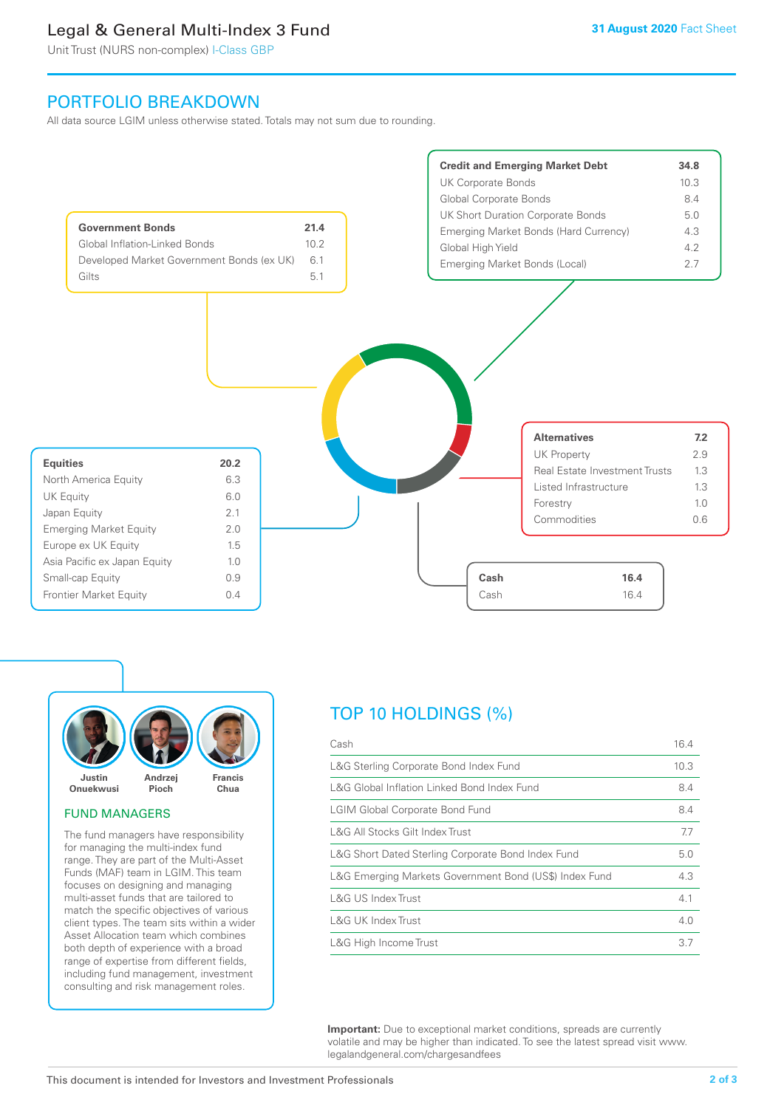# Legal & General Multi-Index 3 Fund

Unit Trust (NURS non-complex) I-Class GBP

# PORTFOLIO BREAKDOWN

All data source LGIM unless otherwise stated. Totals may not sum due to rounding.





## FUND MANAGERS

The fund managers have responsibility for managing the multi-index fund range. They are part of the Multi-Asset Funds (MAF) team in LGIM. This team focuses on designing and managing multi-asset funds that are tailored to match the specific objectives of various client types. The team sits within a wider Asset Allocation team which combines both depth of experience with a broad range of expertise from different fields, including fund management, investment consulting and risk management roles.

# TOP 10 HOLDINGS (%)

| Cash                                                   | 16.4 |
|--------------------------------------------------------|------|
| L&G Sterling Corporate Bond Index Fund                 | 10.3 |
| L&G Global Inflation Linked Bond Index Fund            | 8.4  |
| <b>LGIM Global Corporate Bond Fund</b>                 | 8.4  |
| L&G All Stocks Gilt Index Trust                        | 7.7  |
| L&G Short Dated Sterling Corporate Bond Index Fund     | 5.0  |
| L&G Emerging Markets Government Bond (US\$) Index Fund | 4.3  |
| L&G US Index Trust                                     | 4.1  |
| L&G UK Index Trust                                     | 4.0  |
| L&G High Income Trust                                  | 3.7  |

**Important:** Due to exceptional market conditions, spreads are currently volatile and may be higher than indicated. To see the latest spread visit www. legalandgeneral.com/chargesandfees